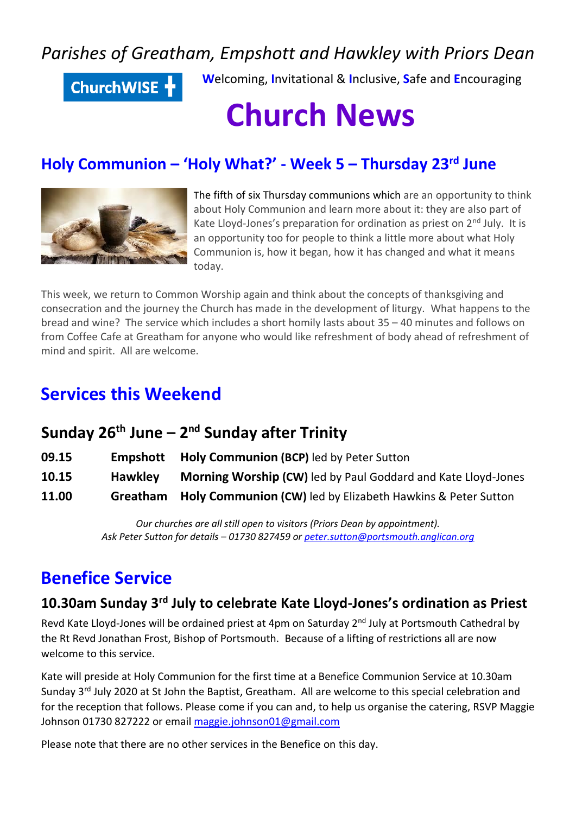# *Parishes of Greatham, Empshott and Hawkley with Priors Dean*

ChurchWISE +

**W**elcoming, **I**nvitational & **I**nclusive, **S**afe and **E**ncouraging

# **Church News**

# **Holy Communion – 'Holy What?' - Week 5 – Thursday 23rd June**



The fifth of six Thursday communions which are an opportunity to think about Holy Communion and learn more about it: they are also part of Kate Lloyd-Jones's preparation for ordination as priest on 2<sup>nd</sup> July. It is an opportunity too for people to think a little more about what Holy Communion is, how it began, how it has changed and what it means today.

This week, we return to Common Worship again and think about the concepts of thanksgiving and consecration and the journey the Church has made in the development of liturgy. What happens to the bread and wine? The service which includes a short homily lasts about 35 – 40 minutes and follows on from Coffee Cafe at Greatham for anyone who would like refreshment of body ahead of refreshment of mind and spirit. All are welcome.

# **Services this Weekend**

## **Sunday 26th June – 2 nd Sunday after Trinity**

| 09.15 | Empshott       | <b>Holy Communion (BCP)</b> led by Peter Sutton               |
|-------|----------------|---------------------------------------------------------------|
| 10.15 | <b>Hawkley</b> | Morning Worship (CW) led by Paul Goddard and Kate Lloyd-Jones |
| 11.00 | Greatham       | Holy Communion (CW) led by Elizabeth Hawkins & Peter Sutton   |

*Our churches are all still open to visitors (Priors Dean by appointment). Ask Peter Sutton for details – 01730 827459 o[r peter.sutton@portsmouth.anglican.org](mailto:peter.sutton@portsmouth.anglican.org)*

# **Benefice Service**

### **10.30am Sunday 3rd July to celebrate Kate Lloyd-Jones's ordination as Priest**

Revd Kate Lloyd-Jones will be ordained priest at 4pm on Saturday 2<sup>nd</sup> July at Portsmouth Cathedral by the Rt Revd Jonathan Frost, Bishop of Portsmouth. Because of a lifting of restrictions all are now welcome to this service.

Kate will preside at Holy Communion for the first time at a Benefice Communion Service at 10.30am Sunday 3<sup>rd</sup> July 2020 at St John the Baptist, Greatham. All are welcome to this special celebration and for the reception that follows. Please come if you can and, to help us organise the catering, RSVP Maggie Johnson 01730 827222 or email [maggie.johnson01@gmail.com](mailto:maggie.johnson01@gmail.com)

Please note that there are no other services in the Benefice on this day.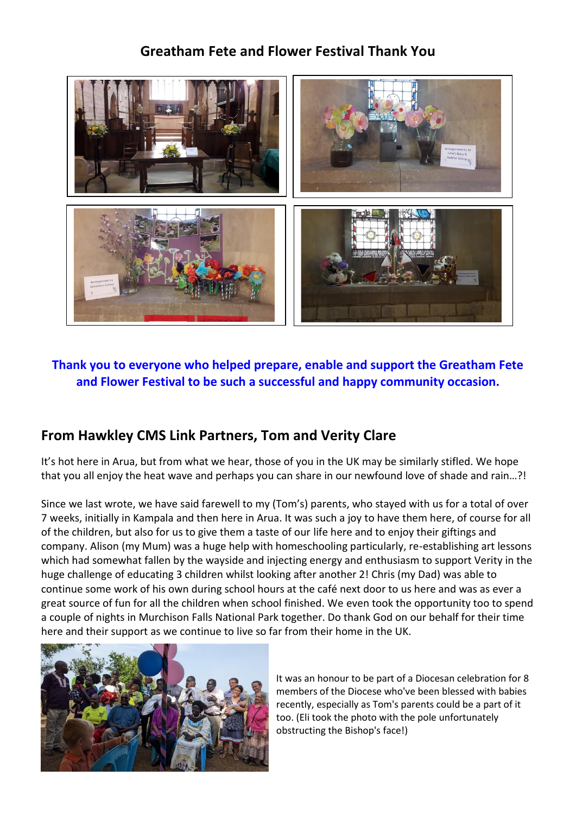### **Greatham Fete and Flower Festival Thank You**



### **Thank you to everyone who helped prepare, enable and support the Greatham Fete and Flower Festival to be such a successful and happy community occasion.**

### **From Hawkley CMS Link Partners, Tom and Verity Clare**

It's hot here in Arua, but from what we hear, those of you in the UK may be similarly stifled. We hope that you all enjoy the heat wave and perhaps you can share in our newfound love of shade and rain…?!

Since we last wrote, we have said farewell to my (Tom's) parents, who stayed with us for a total of over 7 weeks, initially in Kampala and then here in Arua. It was such a joy to have them here, of course for all of the children, but also for us to give them a taste of our life here and to enjoy their giftings and company. Alison (my Mum) was a huge help with homeschooling particularly, re-establishing art lessons which had somewhat fallen by the wayside and injecting energy and enthusiasm to support Verity in the huge challenge of educating 3 children whilst looking after another 2! Chris (my Dad) was able to continue some work of his own during school hours at the café next door to us here and was as ever a great source of fun for all the children when school finished. We even took the opportunity too to spend a couple of nights in Murchison Falls National Park together. Do thank God on our behalf for their time here and their support as we continue to live so far from their home in the UK.



It was an honour to be part of a Diocesan celebration for 8 members of the Diocese who've been blessed with babies recently, especially as Tom's parents could be a part of it too. (Eli took the photo with the pole unfortunately obstructing the Bishop's face!)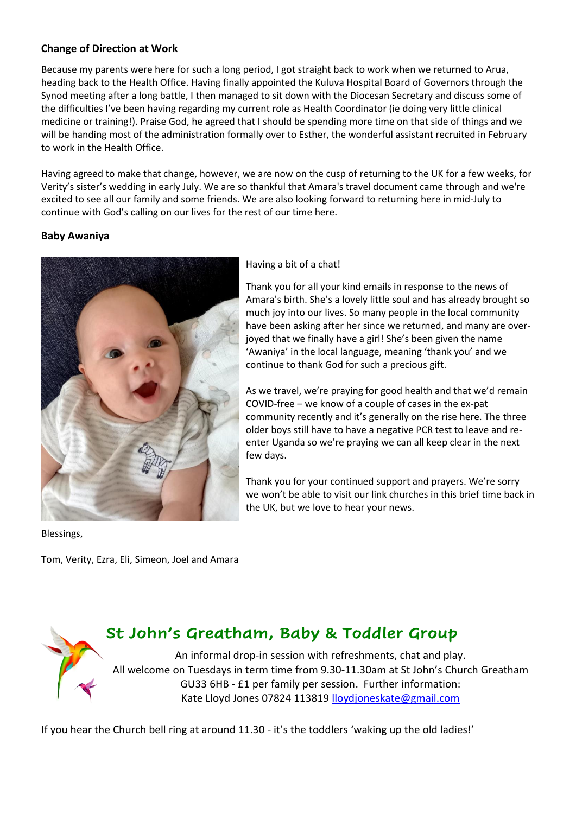#### **Change of Direction at Work**

Because my parents were here for such a long period, I got straight back to work when we returned to Arua, heading back to the Health Office. Having finally appointed the Kuluva Hospital Board of Governors through the Synod meeting after a long battle, I then managed to sit down with the Diocesan Secretary and discuss some of the difficulties I've been having regarding my current role as Health Coordinator (ie doing very little clinical medicine or training!). Praise God, he agreed that I should be spending more time on that side of things and we will be handing most of the administration formally over to Esther, the wonderful assistant recruited in February to work in the Health Office.

Having agreed to make that change, however, we are now on the cusp of returning to the UK for a few weeks, for Verity's sister's wedding in early July. We are so thankful that Amara's travel document came through and we're excited to see all our family and some friends. We are also looking forward to returning here in mid-July to continue with God's calling on our lives for the rest of our time here.

#### **Baby Awaniya**



Blessings,

Tom, Verity, Ezra, Eli, Simeon, Joel and Amara

#### Having a bit of a chat!

Thank you for all your kind emails in response to the news of Amara's birth. She's a lovely little soul and has already brought so much joy into our lives. So many people in the local community have been asking after her since we returned, and many are overjoyed that we finally have a girl! She's been given the name 'Awaniya' in the local language, meaning 'thank you' and we continue to thank God for such a precious gift.

As we travel, we're praying for good health and that we'd remain COVID-free – we know of a couple of cases in the ex-pat community recently and it's generally on the rise here. The three older boys still have to have a negative PCR test to leave and reenter Uganda so we're praying we can all keep clear in the next few days.

Thank you for your continued support and prayers. We're sorry we won't be able to visit our link churches in this brief time back in the UK, but we love to hear your news.

### **St John's Greatham, Baby & Toddler Group**

An informal drop-in session with refreshments, chat and play. All welcome on Tuesdays in term time from 9.30-11.30am at St John's Church Greatham GU33 6HB - £1 per family per session. Further information: Kate Lloyd Jones 07824 113819 [lloydjoneskate@gmail.com](mailto:lloydjoneskate@gmail.com)

If you hear the Church bell ring at around 11.30 - it's the toddlers 'waking up the old ladies!'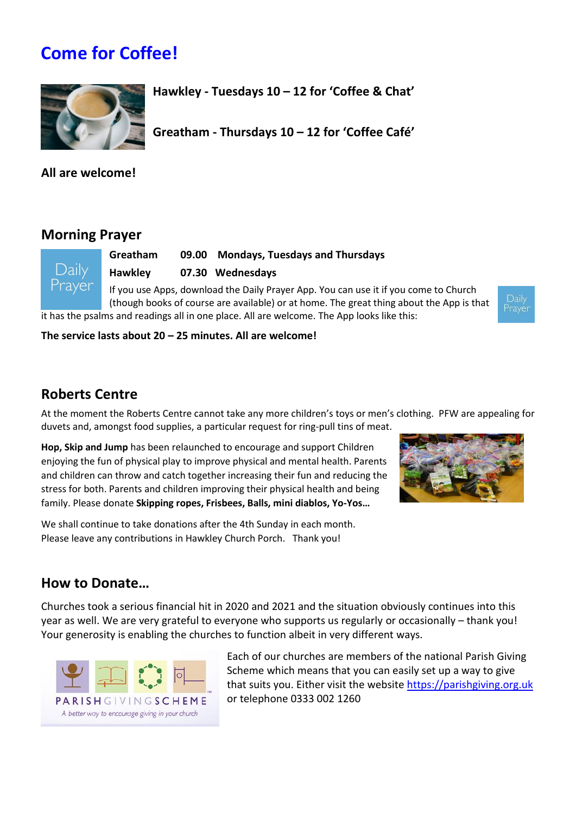# **Come for Coffee!**



**Hawkley - Tuesdays 10 – 12 for 'Coffee & Chat'** 

**Greatham - Thursdays 10 – 12 for 'Coffee Café'**

**All are welcome!**

### **Morning Prayer**

**Greatham 09.00 Mondays, Tuesdays and Thursdays Hawkley 07.30 Wednesdays** If you use Apps, download the Daily Prayer App. You can use it if you come to Church

(though books of course are available) or at home. The great thing about the App is that it has the psalms and readings all in one place. All are welcome. The App looks like this:

**The service lasts about 20 – 25 minutes. All are welcome!**

### **Roberts Centre**

At the moment the Roberts Centre cannot take any more children's toys or men's clothing. PFW are appealing for duvets and, amongst food supplies, a particular request for ring-pull tins of meat.

**Hop, Skip and Jump** has been relaunched to encourage and support Children enjoying the fun of physical play to improve physical and mental health. Parents and children can throw and catch together increasing their fun and reducing the stress for both. Parents and children improving their physical health and being family. Please donate **Skipping ropes, Frisbees, Balls, mini diablos, Yo-Yos…** 

We shall continue to take donations after the 4th Sunday in each month. Please leave any contributions in Hawkley Church Porch. Thank you!



Daily Prayèr

### **How to Donate…**

Churches took a serious financial hit in 2020 and 2021 and the situation obviously continues into this year as well. We are very grateful to everyone who supports us regularly or occasionally – thank you! Your generosity is enabling the churches to function albeit in very different ways.



Each of our churches are members of the national Parish Giving Scheme which means that you can easily set up a way to give that suits you. Either visit the websit[e https://parishgiving.org.uk](https://parishgivingscheme.org.uk/) or telephone 0333 002 1260